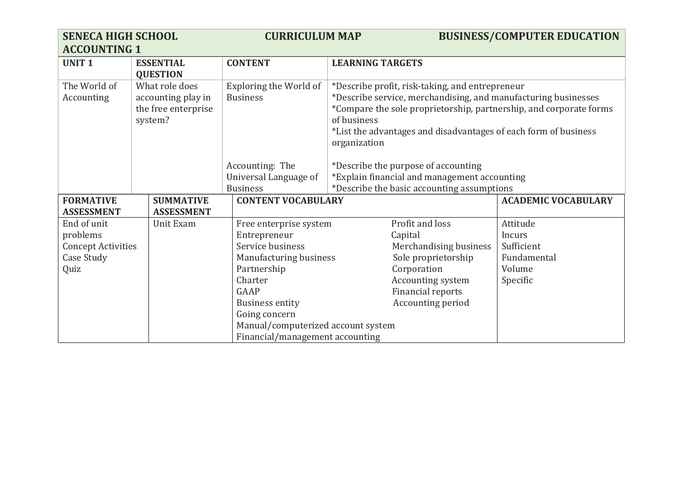| <b>SENECA HIGH SCHOOL</b><br><b>ACCOUNTING 1</b>                           |                                                                        | <b>CURRICULUM MAP</b>                                                                                                                                                                                                                      |                                                                                                                                                                                                                                                                                                                                  | <b>BUSINESS/COMPUTER EDUCATION</b>                                    |
|----------------------------------------------------------------------------|------------------------------------------------------------------------|--------------------------------------------------------------------------------------------------------------------------------------------------------------------------------------------------------------------------------------------|----------------------------------------------------------------------------------------------------------------------------------------------------------------------------------------------------------------------------------------------------------------------------------------------------------------------------------|-----------------------------------------------------------------------|
| <b>UNIT1</b>                                                               | <b>ESSENTIAL</b><br><b>QUESTION</b>                                    | <b>CONTENT</b>                                                                                                                                                                                                                             | <b>LEARNING TARGETS</b>                                                                                                                                                                                                                                                                                                          |                                                                       |
| The World of<br>Accounting                                                 | What role does<br>accounting play in<br>the free enterprise<br>system? | Exploring the World of<br><b>Business</b><br>Accounting: The                                                                                                                                                                               | *Describe profit, risk-taking, and entrepreneur<br>*Describe service, merchandising, and manufacturing businesses<br>*Compare the sole proprietorship, partnership, and corporate forms<br>of business<br>*List the advantages and disadvantages of each form of business<br>organization<br>*Describe the purpose of accounting |                                                                       |
|                                                                            |                                                                        | Universal Language of<br><b>Business</b>                                                                                                                                                                                                   | *Explain financial and management accounting<br>*Describe the basic accounting assumptions                                                                                                                                                                                                                                       |                                                                       |
| <b>FORMATIVE</b><br><b>ASSESSMENT</b>                                      | <b>SUMMATIVE</b><br><b>ASSESSMENT</b>                                  | <b>CONTENT VOCABULARY</b>                                                                                                                                                                                                                  |                                                                                                                                                                                                                                                                                                                                  | <b>ACADEMIC VOCABULARY</b>                                            |
| End of unit<br>problems<br><b>Concept Activities</b><br>Case Study<br>Quiz | Unit Exam                                                              | Free enterprise system<br>Entrepreneur<br>Service business<br>Manufacturing business<br>Partnership<br>Charter<br>GAAP<br><b>Business entity</b><br>Going concern<br>Manual/computerized account system<br>Financial/management accounting | Profit and loss<br>Capital<br>Merchandising business<br>Sole proprietorship<br>Corporation<br>Accounting system<br><b>Financial reports</b><br>Accounting period                                                                                                                                                                 | Attitude<br>Incurs<br>Sufficient<br>Fundamental<br>Volume<br>Specific |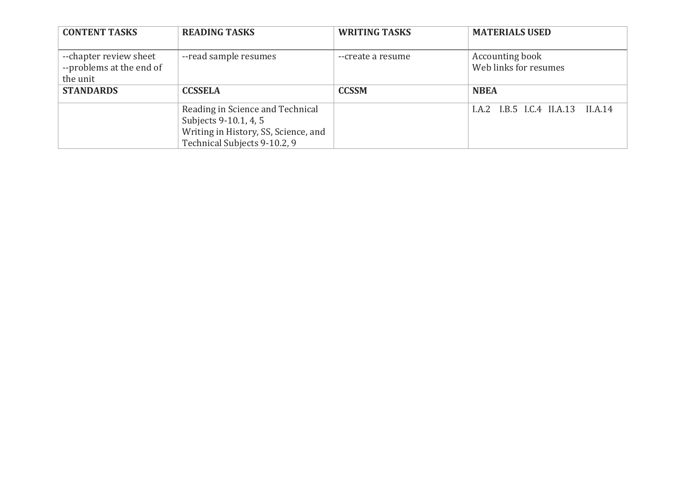| <b>CONTENT TASKS</b>     | <b>READING TASKS</b>                 | <b>WRITING TASKS</b> | <b>MATERIALS USED</b>             |
|--------------------------|--------------------------------------|----------------------|-----------------------------------|
| --chapter review sheet   | --read sample resumes                | --create a resume    | Accounting book                   |
| --problems at the end of |                                      |                      | Web links for resumes             |
| the unit                 |                                      |                      |                                   |
| <b>STANDARDS</b>         | <b>CCSSELA</b>                       | <b>CCSSM</b>         | <b>NBEA</b>                       |
|                          | Reading in Science and Technical     |                      | I.A.2 I.B.5 I.C.4 II.A.13 II.A.14 |
|                          | Subjects 9-10.1, 4, 5                |                      |                                   |
|                          | Writing in History, SS, Science, and |                      |                                   |
|                          | Technical Subjects 9-10.2, 9         |                      |                                   |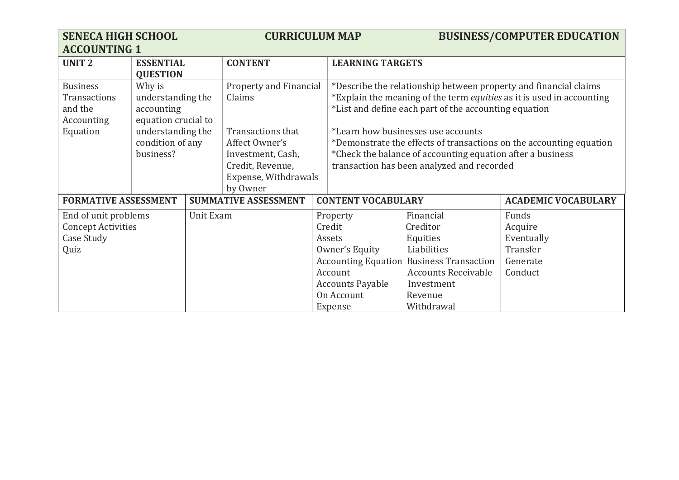| <b>SENECA HIGH SCHOOL</b><br><b>ACCOUNTING 1</b>                                                                                                                                                                                  |                                     |                                                                                                              | <b>CURRICULUM MAP</b>                   |                                                                                                                                                                                                                                                                                                                                                                                                                                    |                                                                     |                                                                                                                                                                          | <b>BUSINESS/COMPUTER EDUCATION</b>                                |
|-----------------------------------------------------------------------------------------------------------------------------------------------------------------------------------------------------------------------------------|-------------------------------------|--------------------------------------------------------------------------------------------------------------|-----------------------------------------|------------------------------------------------------------------------------------------------------------------------------------------------------------------------------------------------------------------------------------------------------------------------------------------------------------------------------------------------------------------------------------------------------------------------------------|---------------------------------------------------------------------|--------------------------------------------------------------------------------------------------------------------------------------------------------------------------|-------------------------------------------------------------------|
| <b>UNIT2</b>                                                                                                                                                                                                                      | <b>ESSENTIAL</b><br><b>QUESTION</b> |                                                                                                              | <b>CONTENT</b>                          |                                                                                                                                                                                                                                                                                                                                                                                                                                    | <b>LEARNING TARGETS</b>                                             |                                                                                                                                                                          |                                                                   |
| <b>Business</b><br>Why is<br>understanding the<br>Claims<br><b>Transactions</b><br>and the<br>accounting<br>equation crucial to<br>Accounting<br>understanding the<br>Equation<br>condition of any<br>Affect Owner's<br>business? |                                     | Property and Financial<br>Transactions that<br>Investment, Cash,<br>Credit, Revenue,<br>Expense, Withdrawals |                                         | *Describe the relationship between property and financial claims<br>*Explain the meaning of the term <i>equities</i> as it is used in accounting<br>*List and define each part of the accounting equation<br>*Learn how businesses use accounts<br>*Demonstrate the effects of transactions on the accounting equation<br>*Check the balance of accounting equation after a business<br>transaction has been analyzed and recorded |                                                                     |                                                                                                                                                                          |                                                                   |
| <b>FORMATIVE ASSESSMENT</b>                                                                                                                                                                                                       |                                     |                                                                                                              | by Owner<br><b>SUMMATIVE ASSESSMENT</b> |                                                                                                                                                                                                                                                                                                                                                                                                                                    | <b>CONTENT VOCABULARY</b>                                           |                                                                                                                                                                          | <b>ACADEMIC VOCABULARY</b>                                        |
| End of unit problems<br><b>Concept Activities</b><br>Case Study<br>Quiz                                                                                                                                                           |                                     | Unit Exam                                                                                                    |                                         | Credit<br>Assets<br>Account<br>Expense                                                                                                                                                                                                                                                                                                                                                                                             | Property<br>Owner's Equity<br><b>Accounts Payable</b><br>On Account | Financial<br>Creditor<br>Equities<br>Liabilities<br><b>Accounting Equation Business Transaction</b><br><b>Accounts Receivable</b><br>Investment<br>Revenue<br>Withdrawal | Funds<br>Acquire<br>Eventually<br>Transfer<br>Generate<br>Conduct |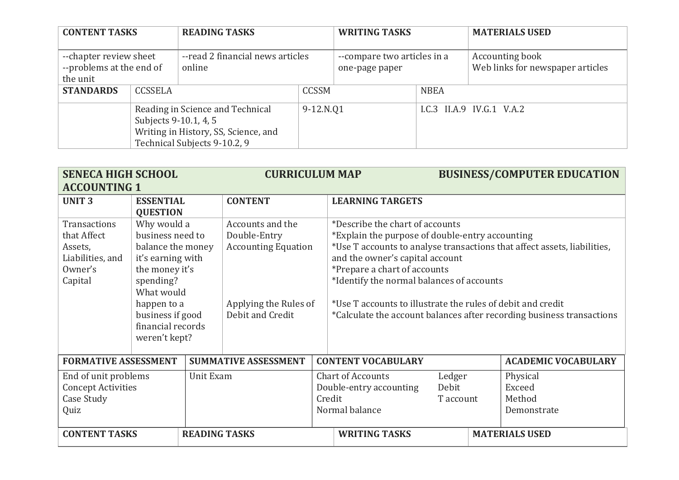| <b>CONTENT TASKS</b>                                           |                                                                                                                                   | <b>READING TASKS</b>                       |              | <b>WRITING TASKS</b>                          |             | <b>MATERIALS USED</b>                               |
|----------------------------------------------------------------|-----------------------------------------------------------------------------------------------------------------------------------|--------------------------------------------|--------------|-----------------------------------------------|-------------|-----------------------------------------------------|
| --chapter review sheet<br>--problems at the end of<br>the unit |                                                                                                                                   | --read 2 financial news articles<br>online |              | --compare two articles in a<br>one-page paper |             | Accounting book<br>Web links for newspaper articles |
| <b>STANDARDS</b>                                               | <b>CCSSELA</b>                                                                                                                    |                                            | <b>CCSSM</b> |                                               | <b>NBEA</b> |                                                     |
|                                                                | Reading in Science and Technical<br>Subjects 9-10.1, 4, 5<br>Writing in History, SS, Science, and<br>Technical Subjects 9-10.2, 9 |                                            |              | 9-12.N.Q1                                     |             | I.C.3 II.A.9 IV.G.1 V.A.2                           |

| <b>SENECA HIGH SCHOOL</b>                                                        |                                                                                                                                                                                                 |                      | <b>CURRICULUM MAP</b>                                                                                       |  |                                                                                                                                                                                                                                                                   |  | <b>BUSINESS/COMPUTER EDUCATION</b>          |                                                                                                                                                   |
|----------------------------------------------------------------------------------|-------------------------------------------------------------------------------------------------------------------------------------------------------------------------------------------------|----------------------|-------------------------------------------------------------------------------------------------------------|--|-------------------------------------------------------------------------------------------------------------------------------------------------------------------------------------------------------------------------------------------------------------------|--|---------------------------------------------|---------------------------------------------------------------------------------------------------------------------------------------------------|
| <b>ACCOUNTING 1</b>                                                              |                                                                                                                                                                                                 |                      |                                                                                                             |  |                                                                                                                                                                                                                                                                   |  |                                             |                                                                                                                                                   |
| <b>UNIT3</b>                                                                     | <b>ESSENTIAL</b><br><b>QUESTION</b>                                                                                                                                                             |                      | <b>CONTENT</b>                                                                                              |  | <b>LEARNING TARGETS</b>                                                                                                                                                                                                                                           |  |                                             |                                                                                                                                                   |
| Transactions<br>that Affect<br>Assets,<br>Liabilities, and<br>Owner's<br>Capital | Why would a<br>business need to<br>balance the money<br>it's earning with<br>the money it's<br>spending?<br>What would<br>happen to a<br>business if good<br>financial records<br>weren't kept? |                      | Accounts and the<br>Double-Entry<br><b>Accounting Equation</b><br>Applying the Rules of<br>Debit and Credit |  | *Describe the chart of accounts<br>*Explain the purpose of double-entry accounting<br>and the owner's capital account<br>*Prepare a chart of accounts<br>*Identify the normal balances of accounts<br>*Use T accounts to illustrate the rules of debit and credit |  |                                             | *Use T accounts to analyse transactions that affect assets, liabilities,<br>*Calculate the account balances after recording business transactions |
| <b>FORMATIVE ASSESSMENT</b>                                                      |                                                                                                                                                                                                 |                      | <b>SUMMATIVE ASSESSMENT</b>                                                                                 |  | <b>CONTENT VOCABULARY</b>                                                                                                                                                                                                                                         |  |                                             | <b>ACADEMIC VOCABULARY</b>                                                                                                                        |
| End of unit problems<br><b>Concept Activities</b><br>Case Study<br>Quiz          |                                                                                                                                                                                                 | Unit Exam            |                                                                                                             |  | <b>Chart of Accounts</b><br>Ledger<br>Double-entry accounting<br>Debit<br>Credit<br>T account<br>Normal balance                                                                                                                                                   |  | Physical<br>Exceed<br>Method<br>Demonstrate |                                                                                                                                                   |
| <b>CONTENT TASKS</b>                                                             |                                                                                                                                                                                                 | <b>READING TASKS</b> |                                                                                                             |  | <b>WRITING TASKS</b>                                                                                                                                                                                                                                              |  |                                             | <b>MATERIALS USED</b>                                                                                                                             |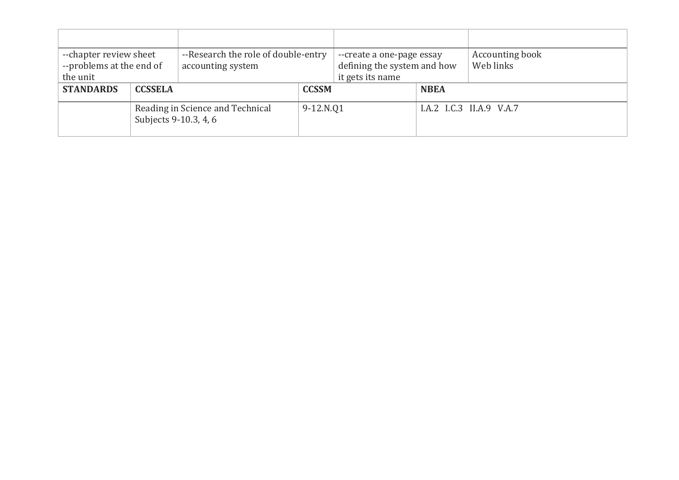| --chapter review sheet<br>--problems at the end of<br>the unit |                                                           | --Research the role of double-entry<br>accounting system |              | --create a one-page essay<br>defining the system and how<br>it gets its name |             | Accounting book<br>Web links |
|----------------------------------------------------------------|-----------------------------------------------------------|----------------------------------------------------------|--------------|------------------------------------------------------------------------------|-------------|------------------------------|
| <b>STANDARDS</b>                                               | <b>CCSSELA</b>                                            |                                                          | <b>CCSSM</b> |                                                                              | <b>NBEA</b> |                              |
|                                                                | Reading in Science and Technical<br>Subjects 9-10.3, 4, 6 |                                                          | 9-12.N.Q1    |                                                                              |             | I.A.2 I.C.3 II.A.9 V.A.7     |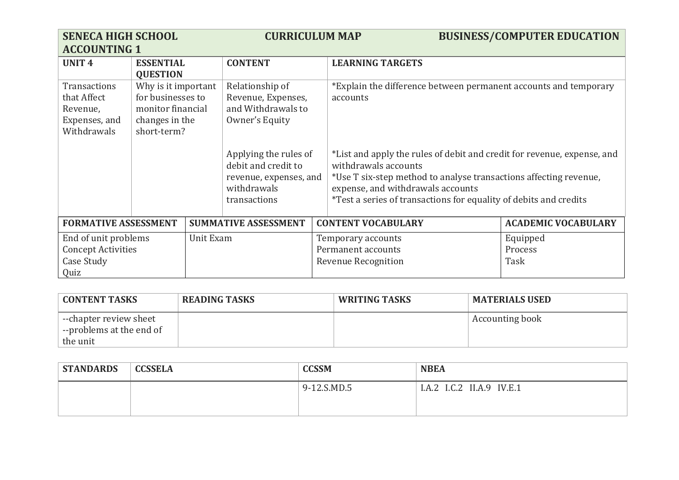| <b>SENECA HIGH SCHOOL</b><br><b>ACCOUNTING 1</b>                                     |                                                                                                | <b>CURRICULUM MAP</b> |                                                                                                       |  | <b>BUSINESS/COMPUTER EDUCATION</b>                                                                                                                                                                                                                                                    |                            |
|--------------------------------------------------------------------------------------|------------------------------------------------------------------------------------------------|-----------------------|-------------------------------------------------------------------------------------------------------|--|---------------------------------------------------------------------------------------------------------------------------------------------------------------------------------------------------------------------------------------------------------------------------------------|----------------------------|
| <b>UNIT 4</b>                                                                        | <b>ESSENTIAL</b><br><b>QUESTION</b>                                                            |                       | <b>CONTENT</b>                                                                                        |  | <b>LEARNING TARGETS</b>                                                                                                                                                                                                                                                               |                            |
| Transactions<br>that Affect<br>Revenue,<br>Expenses, and<br>Withdrawals              | Why is it important<br>for businesses to<br>monitor financial<br>changes in the<br>short-term? |                       | Relationship of<br>Revenue, Expenses,<br>and Withdrawals to<br>Owner's Equity                         |  | *Explain the difference between permanent accounts and temporary<br>accounts                                                                                                                                                                                                          |                            |
|                                                                                      |                                                                                                |                       | Applying the rules of<br>debit and credit to<br>revenue, expenses, and<br>withdrawals<br>transactions |  | *List and apply the rules of debit and credit for revenue, expense, and<br>withdrawals accounts<br>*Use T six-step method to analyse transactions affecting revenue,<br>expense, and withdrawals accounts<br><i>*Test a series of transactions for equality of debits and credits</i> |                            |
| <b>FORMATIVE ASSESSMENT</b>                                                          |                                                                                                |                       | <b>SUMMATIVE ASSESSMENT</b>                                                                           |  | <b>CONTENT VOCABULARY</b>                                                                                                                                                                                                                                                             | <b>ACADEMIC VOCABULARY</b> |
| End of unit problems<br>Unit Exam<br><b>Concept Activities</b><br>Case Study<br>Quiz |                                                                                                |                       | Equipped<br>Temporary accounts<br>Permanent accounts<br>Process<br>Task<br><b>Revenue Recognition</b> |  |                                                                                                                                                                                                                                                                                       |                            |

| <b>CONTENT TASKS</b>                                              | <b>READING TASKS</b> | <b>WRITING TASKS</b> | <b>MATERIALS USED</b> |
|-------------------------------------------------------------------|----------------------|----------------------|-----------------------|
| --chapter review sheet<br>$\overline{ }$ --problems at the end of |                      |                      | Accounting book       |
| the unit                                                          |                      |                      |                       |

| <b>STANDARDS</b> | <b>CCSSELA</b> | <b>CCSSM</b>            | <b>NBEA</b>                       |
|------------------|----------------|-------------------------|-----------------------------------|
|                  |                | $-12.S.MD.5$<br>$Q - 1$ | ? II.A.9 IV.E.1<br>I.C.2<br>I.A.2 |
|                  |                |                         |                                   |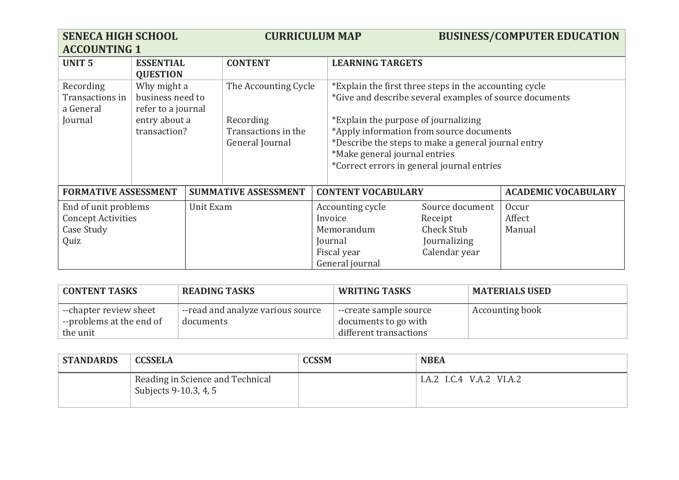| <b>SENECA HIGH SCHOOL</b><br><b>ACCOUNTING 1</b>                        |                                                                                                                                                                       |           | <b>CURRICULUM MAP</b>                                                                                                                                                                                                                                                                                                                       |                                                                                        | <b>BUSINESS/COMPUTER EDUCATION</b>                                               |                            |
|-------------------------------------------------------------------------|-----------------------------------------------------------------------------------------------------------------------------------------------------------------------|-----------|---------------------------------------------------------------------------------------------------------------------------------------------------------------------------------------------------------------------------------------------------------------------------------------------------------------------------------------------|----------------------------------------------------------------------------------------|----------------------------------------------------------------------------------|----------------------------|
| <b>UNIT 5</b>                                                           | <b>ESSENTIAL</b><br><b>QUESTION</b>                                                                                                                                   |           | <b>CONTENT</b>                                                                                                                                                                                                                                                                                                                              | <b>LEARNING TARGETS</b>                                                                |                                                                                  |                            |
| Recording<br>Transactions in<br>a General<br>Journal                    | Why might a<br>The Accounting Cycle<br>business need to<br>refer to a journal<br>entry about a<br>Recording<br>transaction?<br>Transactions in the<br>General Journal |           | *Explain the first three steps in the accounting cycle<br>*Give and describe several examples of source documents<br>*Explain the purpose of journalizing<br>*Apply information from source documents<br>*Describe the steps to make a general journal entry<br>*Make general journal entries<br>*Correct errors in general journal entries |                                                                                        |                                                                                  |                            |
| <b>FORMATIVE ASSESSMENT</b>                                             |                                                                                                                                                                       |           | <b>SUMMATIVE ASSESSMENT</b>                                                                                                                                                                                                                                                                                                                 | <b>CONTENT VOCABULARY</b>                                                              |                                                                                  | <b>ACADEMIC VOCABULARY</b> |
| End of unit problems<br><b>Concept Activities</b><br>Case Study<br>Quiz |                                                                                                                                                                       | Unit Exam |                                                                                                                                                                                                                                                                                                                                             | Accounting cycle<br>Invoice<br>Memorandum<br>Journal<br>Fiscal year<br>General journal | Source document<br>Receipt<br><b>Check Stub</b><br>Journalizing<br>Calendar year | Occur<br>Affect<br>Manual  |

| <b>CONTENT TASKS</b>                                                          | <b>READING TASKS</b>                           | <b>WRITING TASKS</b>                                                     | <b>MATERIALS USED</b>  |
|-------------------------------------------------------------------------------|------------------------------------------------|--------------------------------------------------------------------------|------------------------|
| --chapter review sheet<br>$\overline{ }$ --problems at the end of<br>the unit | --read and analyze various source<br>documents | --create sample source<br>documents to go with<br>different transactions | <b>Accounting book</b> |

| <b>STANDARDS</b> | CCSSELA                                                   | <b>CCSSM</b> | <b>NBEA</b>              |
|------------------|-----------------------------------------------------------|--------------|--------------------------|
|                  | Reading in Science and Technical<br>Subjects 9-10.3, 4, 5 |              | I.A.2 I.C.4 V.A.2 VI.A.2 |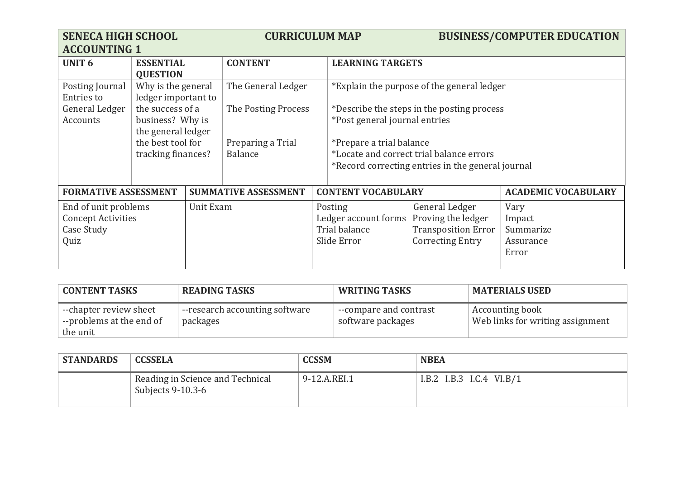| <b>SENECA HIGH SCHOOL</b><br><b>ACCOUNTING 1</b>                        |                                                            |           | <b>CURRICULUM MAP</b>               |  |                                                                 |                                                                                               | <b>BUSINESS/COMPUTER EDUCATION</b>                |
|-------------------------------------------------------------------------|------------------------------------------------------------|-----------|-------------------------------------|--|-----------------------------------------------------------------|-----------------------------------------------------------------------------------------------|---------------------------------------------------|
| <b>UNIT 6</b>                                                           | <b>ESSENTIAL</b><br><b>QUESTION</b>                        |           | <b>CONTENT</b>                      |  | <b>LEARNING TARGETS</b>                                         |                                                                                               |                                                   |
| Posting Journal<br><b>Entries to</b>                                    | Why is the general<br>ledger important to                  |           | The General Ledger                  |  |                                                                 | *Explain the purpose of the general ledger                                                    |                                                   |
| General Ledger<br>Accounts                                              | the success of a<br>business? Why is<br>the general ledger |           | The Posting Process                 |  | *Post general journal entries                                   | *Describe the steps in the posting process                                                    |                                                   |
|                                                                         | the best tool for<br>tracking finances?                    |           | Preparing a Trial<br><b>Balance</b> |  | *Prepare a trial balance                                        | *Locate and correct trial balance errors<br>*Record correcting entries in the general journal |                                                   |
| <b>FORMATIVE ASSESSMENT</b>                                             |                                                            |           | <b>SUMMATIVE ASSESSMENT</b>         |  | <b>CONTENT VOCABULARY</b>                                       |                                                                                               | <b>ACADEMIC VOCABULARY</b>                        |
| End of unit problems<br><b>Concept Activities</b><br>Case Study<br>Quiz |                                                            | Unit Exam |                                     |  | Posting<br>Ledger account forms<br>Trial balance<br>Slide Error | General Ledger<br>Proving the ledger<br><b>Transposition Error</b><br><b>Correcting Entry</b> | Vary<br>Impact<br>Summarize<br>Assurance<br>Error |

| <b>CONTENT TASKS</b>                                           | <b>READING TASKS</b>                       | <b>WRITING TASKS</b>                        | <b>MATERIALS USED</b>                               |
|----------------------------------------------------------------|--------------------------------------------|---------------------------------------------|-----------------------------------------------------|
| --chapter review sheet<br>--problems at the end of<br>the unit | --research accounting software<br>packages | --compare and contrast<br>software packages | Accounting book<br>Web links for writing assignment |

| <b>STANDARDS</b> | <b>CCSSELA</b>                                        | <b>CCSSM</b> | <b>NBEA</b>                |
|------------------|-------------------------------------------------------|--------------|----------------------------|
|                  | Reading in Science and Technical<br>Subjects 9-10.3-6 | 9-12.A.REI.1 | I.B.2 I.B.3 I.C.4 $VI.B/1$ |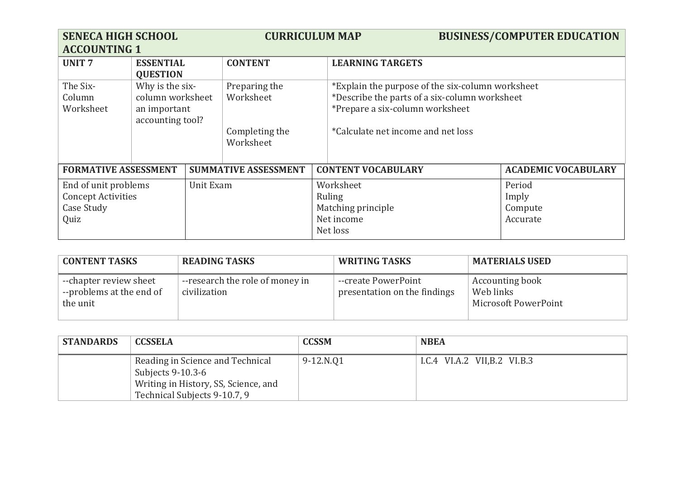| <b>SENECA HIGH SCHOOL</b><br><b>ACCOUNTING 1</b>                                     |                                     | <b>CURRICULUM MAP</b>                                                                                                |                                                                     |  |                                                                                                                                                                            | <b>BUSINESS/COMPUTER EDUCATION</b> |                            |
|--------------------------------------------------------------------------------------|-------------------------------------|----------------------------------------------------------------------------------------------------------------------|---------------------------------------------------------------------|--|----------------------------------------------------------------------------------------------------------------------------------------------------------------------------|------------------------------------|----------------------------|
| <b>UNIT7</b>                                                                         | <b>ESSENTIAL</b><br><b>QUESTION</b> |                                                                                                                      | <b>CONTENT</b>                                                      |  | <b>LEARNING TARGETS</b>                                                                                                                                                    |                                    |                            |
| The Six-<br>Column<br>Worksheet                                                      | an important                        | Why is the six-<br>Preparing the<br>column worksheet<br>Worksheet<br>accounting tool?<br>Completing the<br>Worksheet |                                                                     |  | *Explain the purpose of the six-column worksheet<br>*Describe the parts of a six-column worksheet<br>*Prepare a six-column worksheet<br>*Calculate net income and net loss |                                    |                            |
| <b>FORMATIVE ASSESSMENT</b>                                                          |                                     |                                                                                                                      | <b>SUMMATIVE ASSESSMENT</b>                                         |  | <b>CONTENT VOCABULARY</b>                                                                                                                                                  |                                    | <b>ACADEMIC VOCABULARY</b> |
| End of unit problems<br>Unit Exam<br><b>Concept Activities</b><br>Case Study<br>Quiz |                                     |                                                                                                                      | Worksheet<br>Ruling<br>Matching principle<br>Net income<br>Net loss |  | Period<br>Imply<br>Compute<br>Accurate                                                                                                                                     |                                    |                            |

| <b>CONTENT TASKS</b>                                           | <b>READING TASKS</b>                            | <b>WRITING TASKS</b>                                | <b>MATERIALS USED</b>                                       |
|----------------------------------------------------------------|-------------------------------------------------|-----------------------------------------------------|-------------------------------------------------------------|
| --chapter review sheet<br>--problems at the end of<br>the unit | --research the role of money in<br>civilization | --create PowerPoint<br>presentation on the findings | <b>Accounting book</b><br>Web links<br>Microsoft PowerPoint |

| <b>STANDARDS</b> | <b>CCSSELA</b>                                                                                                                | <b>CCSSM</b> | <b>NBEA</b>                 |
|------------------|-------------------------------------------------------------------------------------------------------------------------------|--------------|-----------------------------|
|                  | Reading in Science and Technical<br>Subjects 9-10.3-6<br>Writing in History, SS, Science, and<br>Technical Subjects 9-10.7, 9 | 9-12.N.Q1    | I.C.4 VI.A.2 VII,B.2 VI.B.3 |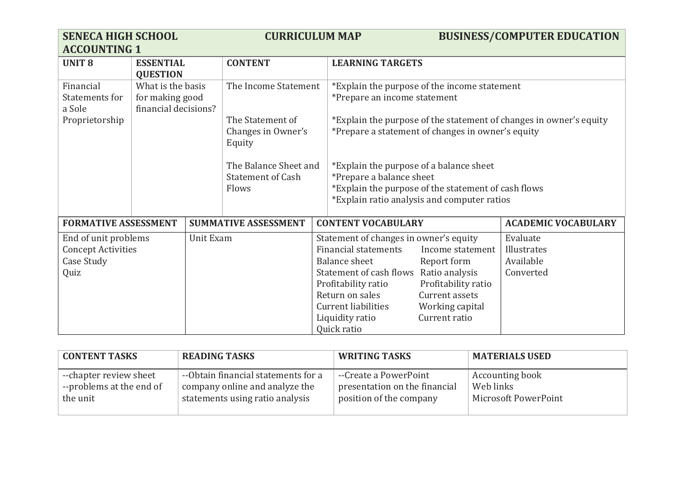| <b>SENECA HIGH SCHOOL</b><br><b>ACCOUNTING 1</b>                        |                                                              |           | <b>CURRICULUM MAP</b>                                      |                                                                                                                                                                                                                             |                                                                                                                                | <b>BUSINESS/COMPUTER EDUCATION</b>                                 |
|-------------------------------------------------------------------------|--------------------------------------------------------------|-----------|------------------------------------------------------------|-----------------------------------------------------------------------------------------------------------------------------------------------------------------------------------------------------------------------------|--------------------------------------------------------------------------------------------------------------------------------|--------------------------------------------------------------------|
| <b>UNIT 8</b>                                                           | <b>ESSENTIAL</b><br><b>QUESTION</b>                          |           | <b>CONTENT</b>                                             |                                                                                                                                                                                                                             | <b>LEARNING TARGETS</b>                                                                                                        |                                                                    |
| Financial<br>Statements for<br>a Sole                                   | What is the basis<br>for making good<br>financial decisions? |           | The Income Statement                                       |                                                                                                                                                                                                                             | *Explain the purpose of the income statement<br>*Prepare an income statement                                                   |                                                                    |
| Proprietorship                                                          |                                                              |           | The Statement of<br>Changes in Owner's<br>Equity           |                                                                                                                                                                                                                             | *Prepare a statement of changes in owner's equity                                                                              | *Explain the purpose of the statement of changes in owner's equity |
|                                                                         |                                                              |           | The Balance Sheet and<br><b>Statement of Cash</b><br>Flows | *Explain the purpose of a balance sheet<br>*Prepare a balance sheet                                                                                                                                                         | *Explain the purpose of the statement of cash flows<br>*Explain ratio analysis and computer ratios                             |                                                                    |
| <b>FORMATIVE ASSESSMENT</b>                                             |                                                              |           | <b>SUMMATIVE ASSESSMENT</b>                                | <b>CONTENT VOCABULARY</b>                                                                                                                                                                                                   |                                                                                                                                | <b>ACADEMIC VOCABULARY</b>                                         |
| End of unit problems<br><b>Concept Activities</b><br>Case Study<br>Quiz |                                                              | Unit Exam |                                                            | Statement of changes in owner's equity<br><b>Financial statements</b><br>Balance sheet<br>Statement of cash flows<br>Profitability ratio<br>Return on sales<br><b>Current liabilities</b><br>Liquidity ratio<br>Quick ratio | Income statement<br>Report form<br>Ratio analysis<br>Profitability ratio<br>Current assets<br>Working capital<br>Current ratio | Evaluate<br>Illustrates<br>Available<br>Converted                  |

| <b>CONTENT TASKS</b>     | <b>READING TASKS</b>                | <b>WRITING TASKS</b>          | <b>MATERIALS USED</b> |
|--------------------------|-------------------------------------|-------------------------------|-----------------------|
| --chapter review sheet   | --Obtain financial statements for a | --Create a PowerPoint         | Accounting book       |
| --problems at the end of | company online and analyze the      | presentation on the financial | Web links             |
| the unit                 | statements using ratio analysis     | position of the company       | Microsoft PowerPoint  |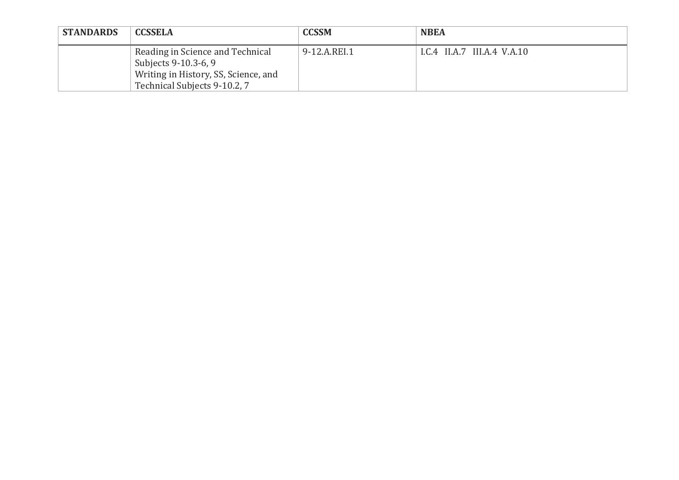| <b>STANDARDS</b> | <b>CCSSELA</b>                                                                                                                   | <b>CCSSM</b> | <b>NBEA</b>                 |
|------------------|----------------------------------------------------------------------------------------------------------------------------------|--------------|-----------------------------|
|                  | Reading in Science and Technical<br>Subjects 9-10.3-6, 9<br>Writing in History, SS, Science, and<br>Technical Subjects 9-10.2, 7 | 9-12.A.REI.1 | I.C.4 II.A.7 III.A.4 V.A.10 |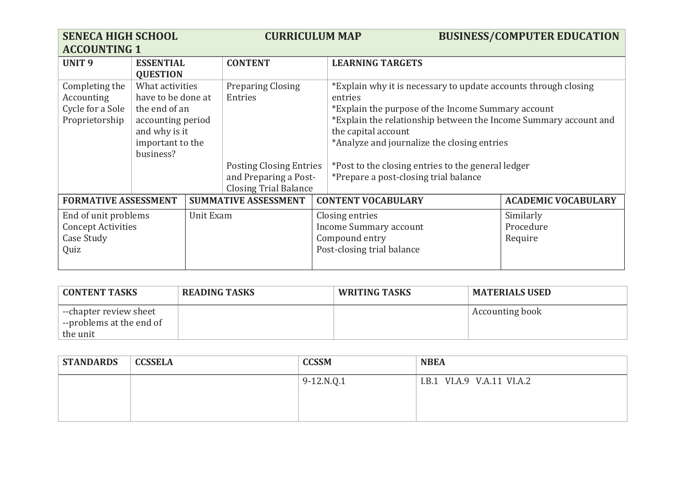| <b>SENECA HIGH SCHOOL</b><br><b>ACCOUNTING 1</b>                                     |                                                                                                                               | <b>CURRICULUM MAP</b> |                                                                                                                                |                                                                                           | <b>BUSINESS/COMPUTER EDUCATION</b>                                                                                                                                                                                                                                                                                                                                        |                            |
|--------------------------------------------------------------------------------------|-------------------------------------------------------------------------------------------------------------------------------|-----------------------|--------------------------------------------------------------------------------------------------------------------------------|-------------------------------------------------------------------------------------------|---------------------------------------------------------------------------------------------------------------------------------------------------------------------------------------------------------------------------------------------------------------------------------------------------------------------------------------------------------------------------|----------------------------|
| <b>UNIT9</b>                                                                         | <b>ESSENTIAL</b><br><b>QUESTION</b>                                                                                           |                       | <b>CONTENT</b>                                                                                                                 |                                                                                           | <b>LEARNING TARGETS</b>                                                                                                                                                                                                                                                                                                                                                   |                            |
| Completing the<br>Accounting<br>Cycle for a Sole<br>Proprietorship                   | What activities<br>have to be done at<br>the end of an<br>accounting period<br>and why is it<br>important to the<br>business? |                       | <b>Preparing Closing</b><br>Entries<br><b>Posting Closing Entries</b><br>and Preparing a Post-<br><b>Closing Trial Balance</b> |                                                                                           | *Explain why it is necessary to update accounts through closing<br>entries<br>*Explain the purpose of the Income Summary account<br>*Explain the relationship between the Income Summary account and<br>the capital account<br>*Analyze and journalize the closing entries<br>*Post to the closing entries to the general ledger<br>*Prepare a post-closing trial balance |                            |
| <b>FORMATIVE ASSESSMENT</b>                                                          |                                                                                                                               |                       | <b>SUMMATIVE ASSESSMENT</b>                                                                                                    |                                                                                           | <b>CONTENT VOCABULARY</b>                                                                                                                                                                                                                                                                                                                                                 | <b>ACADEMIC VOCABULARY</b> |
| End of unit problems<br>Unit Exam<br><b>Concept Activities</b><br>Case Study<br>Quiz |                                                                                                                               |                       |                                                                                                                                | Closing entries<br>Income Summary account<br>Compound entry<br>Post-closing trial balance | Similarly<br>Procedure<br>Require                                                                                                                                                                                                                                                                                                                                         |                            |

| <b>CONTENT TASKS</b>                                           | <b>READING TASKS</b> | <b>WRITING TASKS</b> | <b>MATERIALS USED</b>  |
|----------------------------------------------------------------|----------------------|----------------------|------------------------|
| --chapter review sheet<br>--problems at the end of<br>the unit |                      |                      | <b>Accounting book</b> |

| <b>STANDARDS</b> | <b>CCSSELA</b> | <b>CCSSM</b> | <b>NBEA</b>                |
|------------------|----------------|--------------|----------------------------|
|                  |                | $9-12.N.Q.1$ | I.B.1 VI.A.9 V.A.11 VI.A.2 |
|                  |                |              |                            |
|                  |                |              |                            |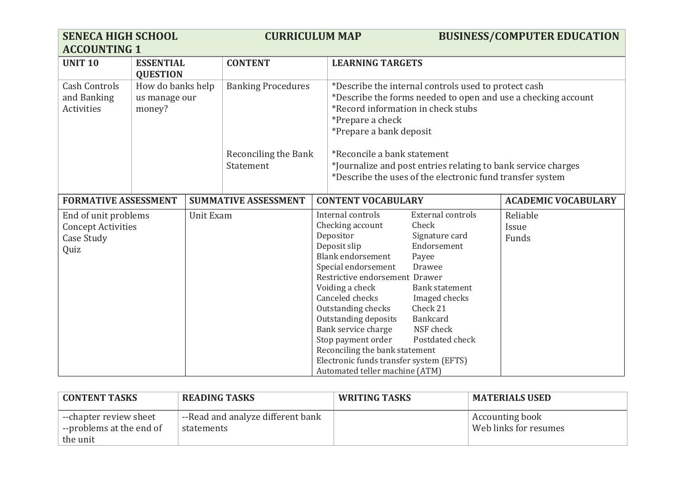| <b>SENECA HIGH SCHOOL</b><br><b>ACCOUNTING 1</b>                        |                                              |                | <b>CURRICULUM MAP</b>             |                                                                                                                                                                                                                                                                                                                                                                                                         | <b>BUSINESS/COMPUTER EDUCATION</b>                                                                                                                                                      |                            |
|-------------------------------------------------------------------------|----------------------------------------------|----------------|-----------------------------------|---------------------------------------------------------------------------------------------------------------------------------------------------------------------------------------------------------------------------------------------------------------------------------------------------------------------------------------------------------------------------------------------------------|-----------------------------------------------------------------------------------------------------------------------------------------------------------------------------------------|----------------------------|
| <b>UNIT 10</b><br><b>ESSENTIAL</b><br><b>QUESTION</b>                   |                                              | <b>CONTENT</b> | <b>LEARNING TARGETS</b>           |                                                                                                                                                                                                                                                                                                                                                                                                         |                                                                                                                                                                                         |                            |
| <b>Cash Controls</b><br>and Banking<br>Activities                       | How do banks help<br>us manage our<br>money? |                | <b>Banking Procedures</b>         | *Describe the internal controls used to protect cash<br>*Describe the forms needed to open and use a checking account<br>*Record information in check stubs<br>*Prepare a check<br>*Prepare a bank deposit                                                                                                                                                                                              |                                                                                                                                                                                         |                            |
|                                                                         |                                              |                | Reconciling the Bank<br>Statement | *Reconcile a bank statement<br>*Journalize and post entries relating to bank service charges<br>*Describe the uses of the electronic fund transfer system                                                                                                                                                                                                                                               |                                                                                                                                                                                         |                            |
| <b>FORMATIVE ASSESSMENT</b>                                             |                                              |                | <b>SUMMATIVE ASSESSMENT</b>       | <b>CONTENT VOCABULARY</b>                                                                                                                                                                                                                                                                                                                                                                               |                                                                                                                                                                                         | <b>ACADEMIC VOCABULARY</b> |
| End of unit problems<br><b>Concept Activities</b><br>Case Study<br>Quiz |                                              | Unit Exam      |                                   | Internal controls<br>Checking account<br>Depositor<br>Deposit slip<br><b>Blank endorsement</b><br>Special endorsement<br>Restrictive endorsement Drawer<br>Voiding a check<br>Canceled checks<br>Outstanding checks<br>Outstanding deposits<br>Bank service charge<br>Stop payment order<br>Reconciling the bank statement<br>Electronic funds transfer system (EFTS)<br>Automated teller machine (ATM) | <b>External controls</b><br>Check<br>Signature card<br>Endorsement<br>Payee<br>Drawee<br><b>Bank statement</b><br>Imaged checks<br>Check 21<br>Bankcard<br>NSF check<br>Postdated check | Reliable<br>Issue<br>Funds |

| <b>CONTENT TASKS</b>                               | <b>READING TASKS</b>                            | <b>WRITING TASKS</b> | <b>MATERIALS USED</b>                             |
|----------------------------------------------------|-------------------------------------------------|----------------------|---------------------------------------------------|
| --chapter review sheet<br>--problems at the end of | --Read and analyze different bank<br>statements |                      | <b>Accounting book</b><br>Web links for resumes " |
| the unit                                           |                                                 |                      |                                                   |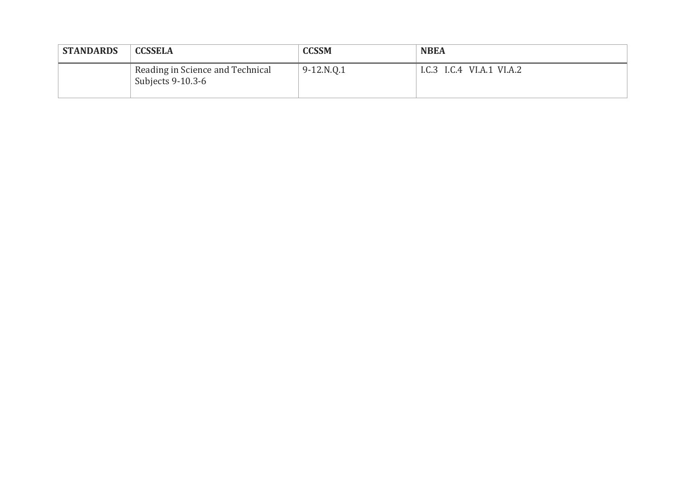| <b>STANDARDS</b> | <b>CCSSELA</b>                                        | <b>CCSSM</b> | <b>NBEA</b>               |
|------------------|-------------------------------------------------------|--------------|---------------------------|
|                  | Reading in Science and Technical<br>Subjects 9-10.3-6 | 9-12.N.Q.1   | I.C.3 I.C.4 VI.A.1 VI.A.2 |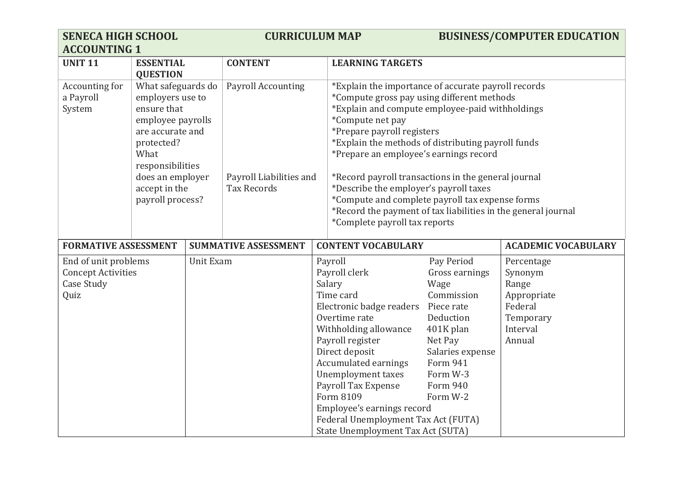| <b>SENECA HIGH SCHOOL</b><br><b>ACCOUNTING 1</b>                               |                                                                                                                                                                                                   | <b>CURRICULUM MAP</b> |                                                                            |  | <b>BUSINESS/COMPUTER EDUCATION</b>                                                                                                                                                                                                                                                                                                                                                                                                                                                                                                                           |                                                                                                                                                                           |                                                                                             |
|--------------------------------------------------------------------------------|---------------------------------------------------------------------------------------------------------------------------------------------------------------------------------------------------|-----------------------|----------------------------------------------------------------------------|--|--------------------------------------------------------------------------------------------------------------------------------------------------------------------------------------------------------------------------------------------------------------------------------------------------------------------------------------------------------------------------------------------------------------------------------------------------------------------------------------------------------------------------------------------------------------|---------------------------------------------------------------------------------------------------------------------------------------------------------------------------|---------------------------------------------------------------------------------------------|
| <b>UNIT 11</b>                                                                 | <b>ESSENTIAL</b><br><b>QUESTION</b>                                                                                                                                                               |                       | <b>CONTENT</b>                                                             |  | <b>LEARNING TARGETS</b>                                                                                                                                                                                                                                                                                                                                                                                                                                                                                                                                      |                                                                                                                                                                           |                                                                                             |
| Accounting for<br>a Payroll<br>System                                          | What safeguards do<br>employers use to<br>ensure that<br>employee payrolls<br>are accurate and<br>protected?<br>What<br>responsibilities<br>does an employer<br>accept in the<br>payroll process? |                       | <b>Payroll Accounting</b><br>Payroll Liabilities and<br><b>Tax Records</b> |  | *Explain the importance of accurate payroll records<br>*Compute gross pay using different methods<br>*Explain and compute employee-paid withholdings<br>*Compute net pay<br>*Prepare payroll registers<br>*Explain the methods of distributing payroll funds<br>*Prepare an employee's earnings record<br>*Record payroll transactions in the general journal<br>*Describe the employer's payroll taxes<br>*Compute and complete payroll tax expense forms<br>*Record the payment of tax liabilities in the general journal<br>*Complete payroll tax reports |                                                                                                                                                                           |                                                                                             |
| <b>FORMATIVE ASSESSMENT</b>                                                    |                                                                                                                                                                                                   |                       | <b>SUMMATIVE ASSESSMENT</b>                                                |  | <b>CONTENT VOCABULARY</b>                                                                                                                                                                                                                                                                                                                                                                                                                                                                                                                                    |                                                                                                                                                                           | <b>ACADEMIC VOCABULARY</b>                                                                  |
| End of unit problems<br><b>Concept Activities</b><br><b>Case Study</b><br>Quiz |                                                                                                                                                                                                   | <b>Unit Exam</b>      |                                                                            |  | Payroll<br>Payroll clerk<br>Salary<br>Time card<br>Electronic badge readers<br>Overtime rate<br>Withholding allowance<br>Payroll register<br>Direct deposit<br><b>Accumulated earnings</b><br>Unemployment taxes<br>Payroll Tax Expense<br>Form 8109<br>Employee's earnings record<br>Federal Unemployment Tax Act (FUTA)<br>State Unemployment Tax Act (SUTA)                                                                                                                                                                                               | Pay Period<br>Gross earnings<br>Wage<br>Commission<br>Piece rate<br>Deduction<br>401K plan<br>Net Pay<br>Salaries expense<br>Form 941<br>Form W-3<br>Form 940<br>Form W-2 | Percentage<br>Synonym<br>Range<br>Appropriate<br>Federal<br>Temporary<br>Interval<br>Annual |